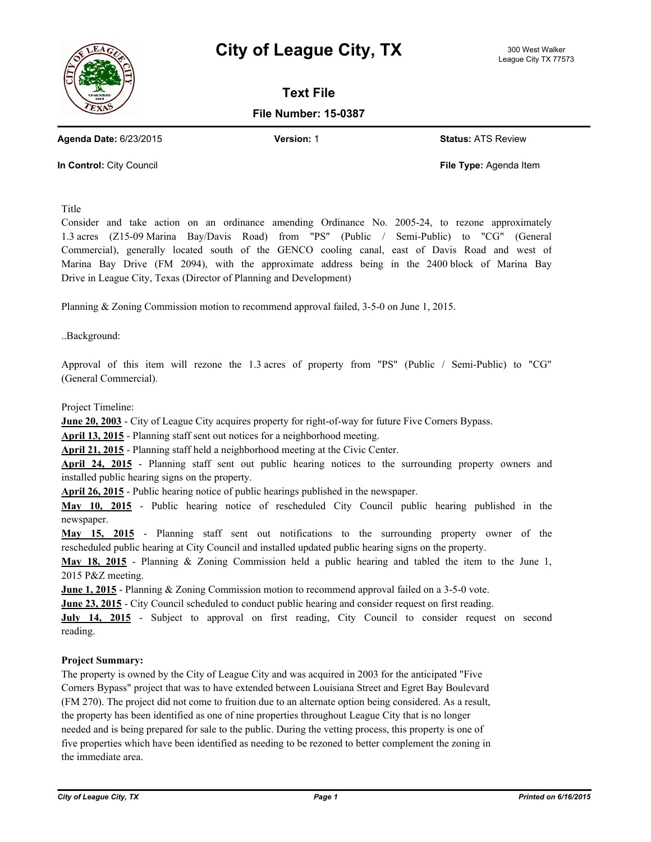



**Text File**

# **File Number: 15-0387**

**Agenda Date:** 6/23/2015 **Version:** 1 **Status:** ATS Review

**In Control:** City Council **File Type:** Agenda Item

Title

Consider and take action on an ordinance amending Ordinance No. 2005-24, to rezone approximately 1.3 acres (Z15-09 Marina Bay/Davis Road) from "PS" (Public / Semi-Public) to "CG" (General Commercial), generally located south of the GENCO cooling canal, east of Davis Road and west of Marina Bay Drive (FM 2094), with the approximate address being in the 2400 block of Marina Bay Drive in League City, Texas (Director of Planning and Development)

Planning & Zoning Commission motion to recommend approval failed, 3-5-0 on June 1, 2015.

..Background:

Approval of this item will rezone the 1.3 acres of property from "PS" (Public / Semi-Public) to "CG" (General Commercial).

Project Timeline:

**June 20, 2003** - City of League City acquires property for right-of-way for future Five Corners Bypass.

**April 13, 2015** - Planning staff sent out notices for a neighborhood meeting.

**April 21, 2015** - Planning staff held a neighborhood meeting at the Civic Center.

**April 24, 2015** - Planning staff sent out public hearing notices to the surrounding property owners and installed public hearing signs on the property.

**April 26, 2015** - Public hearing notice of public hearings published in the newspaper.

**May 10, 2015** - Public hearing notice of rescheduled City Council public hearing published in the newspaper.

**May 15, 2015** - Planning staff sent out notifications to the surrounding property owner of the rescheduled public hearing at City Council and installed updated public hearing signs on the property.

**May 18, 2015** - Planning & Zoning Commission held a public hearing and tabled the item to the June 1, 2015 P&Z meeting.

**June 1, 2015** - Planning & Zoning Commission motion to recommend approval failed on a 3-5-0 vote.

**June 23, 2015** - City Council scheduled to conduct public hearing and consider request on first reading.

**July 14, 2015** - Subject to approval on first reading, City Council to consider request on second reading.

## **Project Summary:**

The property is owned by the City of League City and was acquired in 2003 for the anticipated "Five Corners Bypass" project that was to have extended between Louisiana Street and Egret Bay Boulevard (FM 270). The project did not come to fruition due to an alternate option being considered. As a result, the property has been identified as one of nine properties throughout League City that is no longer needed and is being prepared for sale to the public. During the vetting process, this property is one of five properties which have been identified as needing to be rezoned to better complement the zoning in the immediate area.